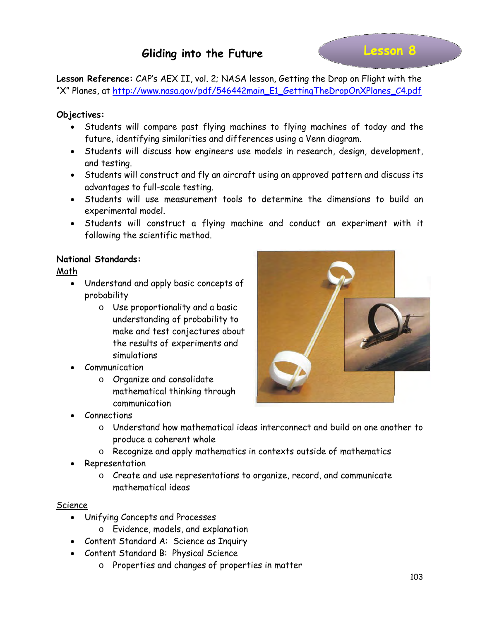**Lesson Reference:** CAP's AEX II, vol. 2; NASA lesson, Getting the Drop on Flight with the "X" Planes, at http://www.nasa.gov/pdf/546442main\_E1\_GettingTheDropOnXPlanes\_C4.pdf

## **Objectives:**

- Students will compare past flying machines to flying machines of today and the future, identifying similarities and differences using a Venn diagram.
- Students will discuss how engineers use models in research, design, development, and testing.
- Students will construct and fly an aircraft using an approved pattern and discuss its advantages to full-scale testing.
- Students will use measurement tools to determine the dimensions to build an experimental model.
- Students will construct a flying machine and conduct an experiment with it following the scientific method.

#### **National Standards:**

Math

- Understand and apply basic concepts of probability
	- o Use proportionality and a basic understanding of probability to make and test conjectures about the results of experiments and simulations
- Communication
	- o Organize and consolidate mathematical thinking through communication
- Connections
	- o Understand how mathematical ideas interconnect and build on one another to produce a coherent whole
	- o Recognize and apply mathematics in contexts outside of mathematics
- Representation
	- o Create and use representations to organize, record, and communicate mathematical ideas

#### Science

- Unifying Concepts and Processes
	- o Evidence, models, and explanation
- Content Standard A: Science as Inquiry
- Content Standard B: Physical Science
	- o Properties and changes of properties in matter

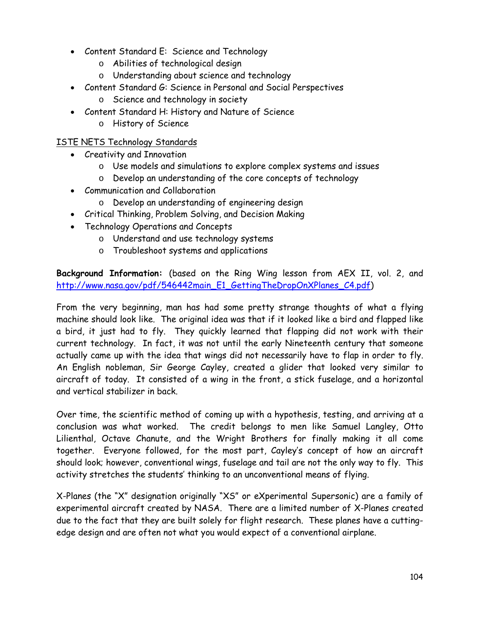- Content Standard E: Science and Technology
	- o Abilities of technological design
	- o Understanding about science and technology
- Content Standard G: Science in Personal and Social Perspectives
	- o Science and technology in society
- Content Standard H: History and Nature of Science
	- o History of Science

# ISTE NETS Technology Standards

- Creativity and Innovation
	- o Use models and simulations to explore complex systems and issues
	- o Develop an understanding of the core concepts of technology
- Communication and Collaboration
	- o Develop an understanding of engineering design
- Critical Thinking, Problem Solving, and Decision Making
- Technology Operations and Concepts
	- o Understand and use technology systems
	- o Troubleshoot systems and applications

**Background Information:** (based on the Ring Wing lesson from AEX II, vol. 2, and [http://www.nasa.gov/pdf/546442main\\_E1\\_GettingTheDropOnXPlanes\\_C4.pdf\)](http://www.nasa.gov/pdf/546442main_E1_GettingTheDropOnXPlanes_C4.pdf)

From the very beginning, man has had some pretty strange thoughts of what a flying machine should look like. The original idea was that if it looked like a bird and flapped like a bird, it just had to fly. They quickly learned that flapping did not work with their current technology. In fact, it was not until the early Nineteenth century that someone actually came up with the idea that wings did not necessarily have to flap in order to fly. An English nobleman, Sir George Cayley, created a glider that looked very similar to aircraft of today. It consisted of a wing in the front, a stick fuselage, and a horizontal and vertical stabilizer in back.

Over time, the scientific method of coming up with a hypothesis, testing, and arriving at a conclusion was what worked. The credit belongs to men like Samuel Langley, Otto Lilienthal, Octave Chanute, and the Wright Brothers for finally making it all come together. Everyone followed, for the most part, Cayley's concept of how an aircraft should look; however, conventional wings, fuselage and tail are not the only way to fly. This activity stretches the students' thinking to an unconventional means of flying.

X-Planes (the "X" designation originally "XS" or eXperimental Supersonic) are a family of experimental aircraft created by NASA. There are a limited number of X-Planes created due to the fact that they are built solely for flight research. These planes have a cuttingedge design and are often not what you would expect of a conventional airplane.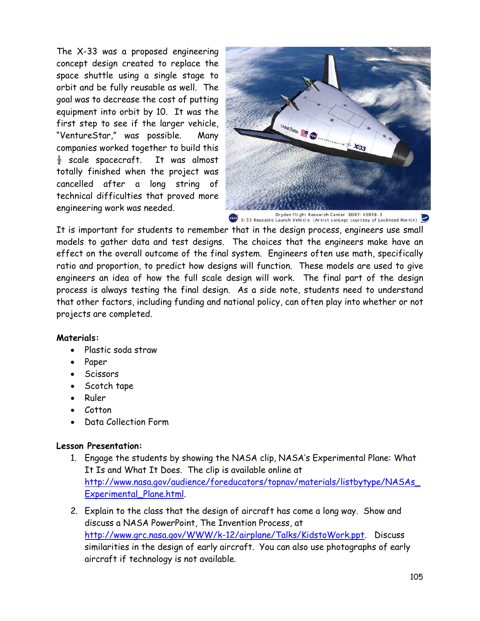The X-33 was a proposed engineering concept design created to replace the space shuttle using a single stage to orbit and be fully reusable as well. The goal was to decrease the cost of putting equipment into orbit by 10. It was the first step to see if the larger vehicle, "VentureStar," was possible. Many companies worked together to build this  $\frac{1}{2}$  scale spacecraft. It was almost totally finished when the project was cancelled after a long string of technical difficulties that proved more engineering work was needed.



Dryden Flight Research Center ED97-43938-3<br>X-33 Reusable Launch Vehicle (Artist concept courtesy of Lockheed Martin)

It is important for students to remember that in the design process, engineers use small models to gather data and test designs. The choices that the engineers make have an effect on the overall outcome of the final system. Engineers often use math, specifically ratio and proportion, to predict how designs will function. These models are used to give engineers an idea of how the full scale design will work. The final part of the design process is always testing the final design. As a side note, students need to understand that other factors, including funding and national policy, can often play into whether or not projects are completed.

#### **Materials:**

- Plastic soda straw
- Paper
- Scissors
- Scotch tape
- Ruler
- Cotton
- Data Collection Form

#### **Lesson Presentation:**

- 1. Engage the students by showing the NASA clip, NASA's Experimental Plane: What It Is and What It Does. The clip is available online at [http://www.nasa.gov/audience/foreducators/topnav/materials/listbytype/NASAs\\_](http://www.nasa.gov/audience/foreducators/topnav/materials/listbytype/NASAs_Experimental_Plane.html) [Experimental\\_Plane.html.](http://www.nasa.gov/audience/foreducators/topnav/materials/listbytype/NASAs_Experimental_Plane.html)
- 2. Explain to the class that the design of aircraft has come a long way. Show and discuss a NASA PowerPoint, The Invention Process, at [http://www.grc.nasa.gov/WWW/k-12/airplane/Talks/KidstoWork.ppt.](http://www.grc.nasa.gov/WWW/k-12/airplane/Talks/KidstoWork.ppt) Discuss similarities in the design of early aircraft. You can also use photographs of early aircraft if technology is not available.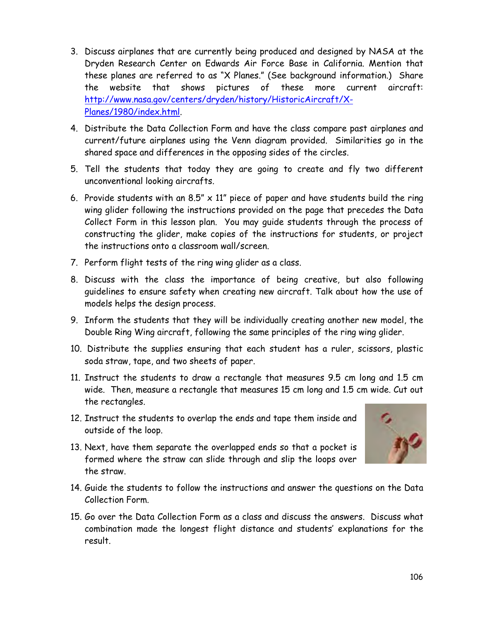- 3. Discuss airplanes that are currently being produced and designed by NASA at the Dryden Research Center on Edwards Air Force Base in California. Mention that these planes are referred to as "X Planes." (See background information.) Share the website that shows pictures of these more current aircraft: [http://www.nasa.gov/centers/dryden/history/HistoricAircraft/X-](http://www.nasa.gov/centers/dryden/history/HistoricAircraft/X-Planes/1980/index.html)[Planes/1980/index.html.](http://www.nasa.gov/centers/dryden/history/HistoricAircraft/X-Planes/1980/index.html)
- 4. Distribute the Data Collection Form and have the class compare past airplanes and current/future airplanes using the Venn diagram provided. Similarities go in the shared space and differences in the opposing sides of the circles.
- 5. Tell the students that today they are going to create and fly two different unconventional looking aircrafts.
- 6. Provide students with an 8.5"  $\times$  11" piece of paper and have students build the ring wing glider following the instructions provided on the page that precedes the Data Collect Form in this lesson plan. You may guide students through the process of constructing the glider, make copies of the instructions for students, or project the instructions onto a classroom wall/screen.
- 7. Perform flight tests of the ring wing glider as a class.
- 8. Discuss with the class the importance of being creative, but also following guidelines to ensure safety when creating new aircraft. Talk about how the use of models helps the design process.
- 9. Inform the students that they will be individually creating another new model, the Double Ring Wing aircraft, following the same principles of the ring wing glider.
- 10. Distribute the supplies ensuring that each student has a ruler, scissors, plastic soda straw, tape, and two sheets of paper.
- 11. Instruct the students to draw a rectangle that measures 9.5 cm long and 1.5 cm wide. Then, measure a rectangle that measures 15 cm long and 1.5 cm wide. Cut out the rectangles.
- 12. Instruct the students to overlap the ends and tape them inside and outside of the loop.
- 13. Next, have them separate the overlapped ends so that a pocket is formed where the straw can slide through and slip the loops over the straw.



- 14. Guide the students to follow the instructions and answer the questions on the Data Collection Form.
- 15. Go over the Data Collection Form as a class and discuss the answers. Discuss what combination made the longest flight distance and students' explanations for the result.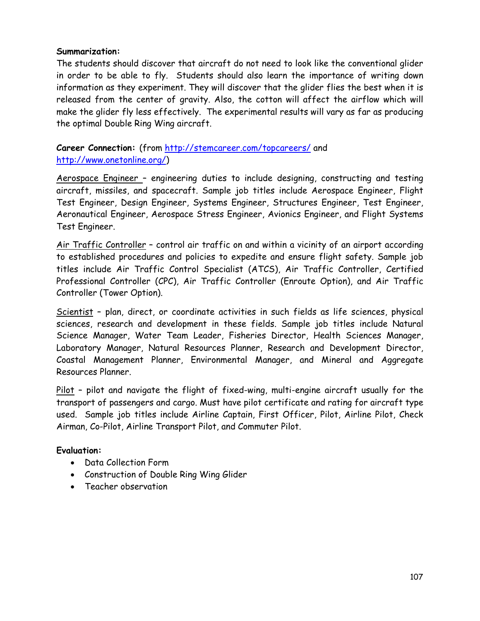#### **Summarization:**

The students should discover that aircraft do not need to look like the conventional glider in order to be able to fly. Students should also learn the importance of writing down information as they experiment. They will discover that the glider flies the best when it is released from the center of gravity. Also, the cotton will affect the airflow which will make the glider fly less effectively. The experimental results will vary as far as producing the optimal Double Ring Wing aircraft.

### **Career Connection:** (from<http://stemcareer.com/topcareers/> and [http://www.onetonline.org/\)](http://www.onetonline.org/)

Aerospace Engineer – engineering duties to include designing, constructing and testing aircraft, missiles, and spacecraft. Sample job titles include Aerospace Engineer, Flight Test Engineer, Design Engineer, Systems Engineer, Structures Engineer, Test Engineer, Aeronautical Engineer, Aerospace Stress Engineer, Avionics Engineer, and Flight Systems Test Engineer.

Air Traffic Controller – control air traffic on and within a vicinity of an airport according to established procedures and policies to expedite and ensure flight safety. Sample job titles include Air Traffic Control Specialist (ATCS), Air Traffic Controller, Certified Professional Controller (CPC), Air Traffic Controller (Enroute Option), and Air Traffic Controller (Tower Option).

Scientist – plan, direct, or coordinate activities in such fields as life sciences, physical sciences, research and development in these fields. Sample job titles include Natural Science Manager, Water Team Leader, Fisheries Director, Health Sciences Manager, Laboratory Manager, Natural Resources Planner, Research and Development Director, Coastal Management Planner, Environmental Manager, and Mineral and Aggregate Resources Planner.

Pilot – pilot and navigate the flight of fixed-wing, multi-engine aircraft usually for the transport of passengers and cargo. Must have pilot certificate and rating for aircraft type used. Sample job titles include Airline Captain, First Officer, Pilot, Airline Pilot, Check Airman, Co-Pilot, Airline Transport Pilot, and Commuter Pilot.

# **Evaluation:**

- Data Collection Form
- Construction of Double Ring Wing Glider
- Teacher observation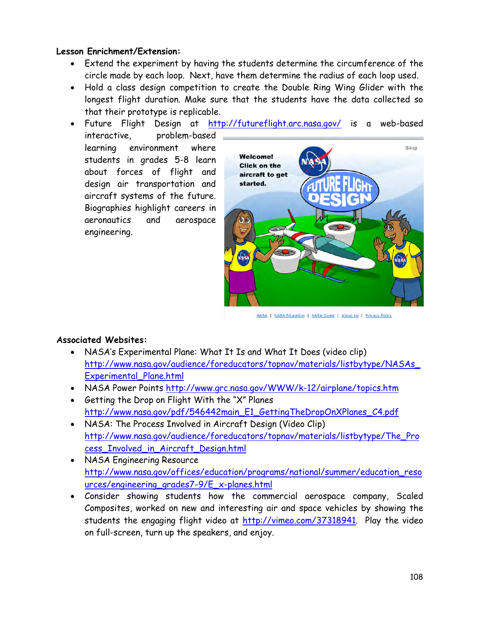#### **Lesson Enrichment/Extension:**

- Extend the experiment by having the students determine the circumference of the circle made by each loop. Next, have them determine the radius of each loop used.
- Hold a class design competition to create the Double Ring Wing Glider with the longest flight duration. Make sure that the students have the data collected so that their prototype is replicable.
- Future Flight Design at <http://futureflight.arc.nasa.gov/> is a web-based interactive, problem-based learning environment where students in grades 5-8 learn about forces of flight and design air transportation and aircraft systems of the future. Biographies highlight careers in aeronautics and aerospace engineering.



NASA | NASA Education | NASA Quest | About Us | Privacy Policy

#### **Associated Websites:**

- NASA's Experimental Plane: What It Is and What It Does (video clip) [http://www.nasa.gov/audience/foreducators/topnav/materials/listbytype/NASAs\\_](http://www.nasa.gov/audience/foreducators/topnav/materials/listbytype/NASAs_Experimental_Plane.html) [Experimental\\_Plane.html](http://www.nasa.gov/audience/foreducators/topnav/materials/listbytype/NASAs_Experimental_Plane.html)
- NASA Power Points<http://www.grc.nasa.gov/WWW/k-12/airplane/topics.htm>
- Getting the Drop on Flight With the "X" Planes [http://www.nasa.gov/pdf/546442main\\_E1\\_GettingTheDropOnXPlanes\\_C4.pdf](http://www.nasa.gov/pdf/546442main_E1_GettingTheDropOnXPlanes_C4.pdf)
- NASA: The Process Involved in Aircraft Design (Video Clip) [http://www.nasa.gov/audience/foreducators/topnav/materials/listbytype/The\\_Pro](http://www.nasa.gov/audience/foreducators/topnav/materials/listbytype/The_Process_Involved_in_Aircraft_Design.html) [cess\\_Involved\\_in\\_Aircraft\\_Design.html](http://www.nasa.gov/audience/foreducators/topnav/materials/listbytype/The_Process_Involved_in_Aircraft_Design.html)
- NASA Engineering Resource [http://www.nasa.gov/offices/education/programs/national/summer/education\\_reso](http://www.nasa.gov/offices/education/programs/national/summer/education_resources/engineering_grades7-9/E_x-planes.html) [urces/engineering\\_grades7-9/E\\_x-planes.html](http://www.nasa.gov/offices/education/programs/national/summer/education_resources/engineering_grades7-9/E_x-planes.html)
- Consider showing students how the commercial aerospace company, Scaled Composites, worked on new and interesting air and space vehicles by showing the students the engaging flight video at [http://vimeo.com/37318941.](http://vimeo.com/37318941) Play the video on full-screen, turn up the speakers, and enjoy.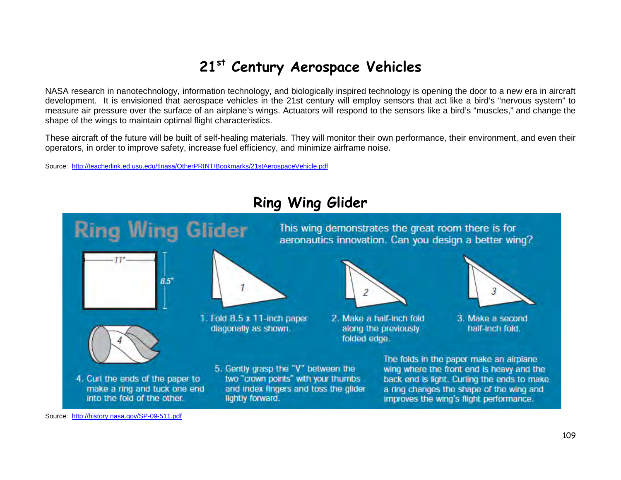# **21st Century Aerospace Vehicles**

NASA research in nanotechnology, information technology, and biologically inspired technology is opening the door to a new era in aircraft development. It is envisioned that aerospace vehicles in the 21st century will employ sensors that act like a bird's "nervous system" to measure air pressure over the surface of an airplane's wings. Actuators will respond to the sensors like a bird's "muscles," and change the shape of the wings to maintain optimal flight characteristics.

These aircraft of the future will be built of self-healing materials. They will monitor their own performance, their environment, and even their operators, in order to improve safety, increase fuel efficiency, and minimize airframe noise.

Source: <http://teacherlink.ed.usu.edu/tlnasa/OtherPRINT/Bookmarks/21stAerospaceVehicle.pdf>

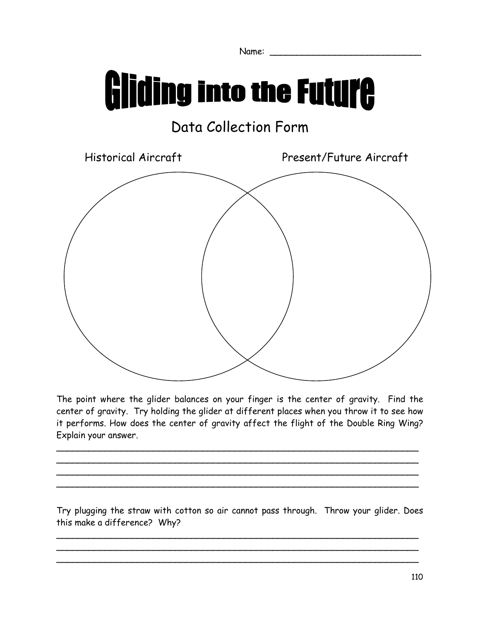Name: \_\_\_\_\_\_\_\_\_\_\_\_\_\_\_\_\_\_\_\_\_\_\_\_\_\_\_\_

# **Gliding into the Future**

# Data Collection Form



The point where the glider balances on your finger is the center of gravity. Find the center of gravity. Try holding the glider at different places when you throw it to see how it performs. How does the center of gravity affect the flight of the Double Ring Wing? Explain your answer.

 $\sim$  . The contract of the contract of the contract of the contract of the contract of the contract of the contract of  $\sim$  0.000  $\sim$  0.000  $\sim$  0.000  $\sim$  0.000  $\sim$  0.000  $\sim$  0.000  $\sim$  0.000  $\sim$  0.000  $\sim$  0.000  $\sim$  0.000  $\sim$  0.000  $\sim$  0.000  $\sim$  0.000  $\sim$  0.000  $\sim$  0.000  $\sim$  0.000  $\sim$  0.000  $\sim$  0.000  $\sim$  0.000  $\sim$  0.000  $\sim$  0.000  $\sim$  0.000  $\sim$  0.000  $\sim$  0.000  $\sim$  0.000  $\sim$  0.000  $\sim$  0.000  $\sim$  0.000  $\sim$  0.000  $\sim$  0.000  $\sim$  0.000  $\sim$  0.000  $\sim$  0.000  $\sim$  0.000  $\sim$  0.000  $\sim$  0.000  $\sim$  0.000  $\sim$  0.000  $\sim$  0.000  $\sim$  0.000  $\sim$  0.000  $\sim$  0.000  $\sim$  0.000  $\sim$  0.000  $\sim$  0.000  $\sim$  0.000  $\sim$  0.000  $\sim$  0.000  $\sim$  0.000  $\sim$  0.000  $\sim$  0.000  $\sim$  0.000  $\sim$  0.000  $\sim$  0.000  $\sim$  0.000  $\sim$  0.000  $\sim$  0.000  $\sim$  0.000  $\sim$  0.000  $\sim$  0.000

Try plugging the straw with cotton so air cannot pass through. Throw your glider. Does this make a difference? Why?

 $\overline{\phantom{a}}$  $\sim$  0.000  $\sim$  0.000  $\sim$  0.000  $\sim$  0.000  $\sim$  0.000  $\sim$  0.000  $\sim$  0.000  $\sim$  0.000  $\sim$  0.000  $\sim$  0.000  $\sim$  0.000  $\sim$  0.000  $\sim$  0.000  $\sim$  0.000  $\sim$  0.000  $\sim$  0.000  $\sim$  0.000  $\sim$  0.000  $\sim$  0.000  $\sim$  0.000  $\overline{\phantom{a}}$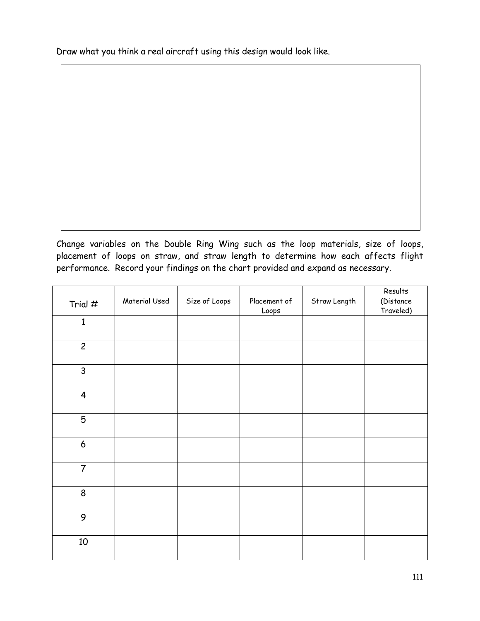Draw what you think a real aircraft using this design would look like.

Change variables on the Double Ring Wing such as the loop materials, size of loops, placement of loops on straw, and straw length to determine how each affects flight performance. Record your findings on the chart provided and expand as necessary.

| Trial $#$               | Material Used | Size of Loops | Placement of<br>Loops | Straw Length | Results<br>(Distance<br>Traveled) |
|-------------------------|---------------|---------------|-----------------------|--------------|-----------------------------------|
| $\mathbf{1}$            |               |               |                       |              |                                   |
| $\overline{c}$          |               |               |                       |              |                                   |
| $\mathsf{3}$            |               |               |                       |              |                                   |
| $\overline{\mathbf{4}}$ |               |               |                       |              |                                   |
| $\overline{5}$          |               |               |                       |              |                                   |
| $\boldsymbol{6}$        |               |               |                       |              |                                   |
| $\overline{7}$          |               |               |                       |              |                                   |
| 8                       |               |               |                       |              |                                   |
| 9                       |               |               |                       |              |                                   |
| $10\,$                  |               |               |                       |              |                                   |